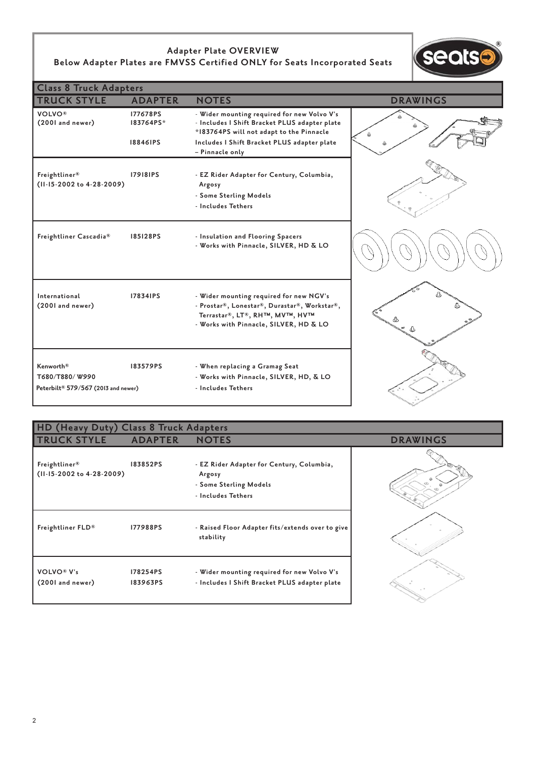## **Adapter Plate OVERVIEW Below Adapter Plates are FMVSS Certified ONLY for Seats Incorporated Seats**



| <b>Class 8 Truck Adapters</b>                                                  |                                          |                                                                                                                                                                     |                 |  |  |
|--------------------------------------------------------------------------------|------------------------------------------|---------------------------------------------------------------------------------------------------------------------------------------------------------------------|-----------------|--|--|
| <b>TRUCK STYLE</b>                                                             | <b>ADAPTER</b>                           | <b>NOTES</b>                                                                                                                                                        | <b>DRAWINGS</b> |  |  |
| <b>VOLVO®</b><br>(2001 and newer)                                              | 177678PS<br>183764PS*<br><b>18846IPS</b> | - Wider mounting required for new Volvo V's<br>- Includes I Shift Bracket PLUS adapter plate<br>*183764PS will not adapt to the Pinnacle                            |                 |  |  |
|                                                                                |                                          | Includes I Shift Bracket PLUS adapter plate<br>- Pinnacle only                                                                                                      |                 |  |  |
| Freightliner®<br>(II-15-2002 to 4-28-2009)                                     | <b>179181PS</b>                          | - EZ Rider Adapter for Century, Columbia,<br>Argosy<br>- Some Sterling Models<br>- Includes Tethers                                                                 |                 |  |  |
| Freightliner Cascadia®                                                         | 185128PS                                 | - Insulation and Flooring Spacers<br>- Works with Pinnacle, SILVER, HD & LO                                                                                         |                 |  |  |
| International<br>(2001 and newer)                                              | 178341PS                                 | - Wider mounting required for new NGV's<br>- Prostar®, Lonestar®, Durastar®, Workstar®,<br>Terrastar®, LT®, RH™, MV™, HV™<br>- Works with Pinnacle, SILVER, HD & LO | 4               |  |  |
| Kenworth <sup>®</sup><br>T680/T880/W990<br>Peterbilt® 579/567 (2013 and newer) | 183579PS                                 | - When replacing a Gramag Seat<br>- Works with Pinnacle, SILVER, HD, & LO<br>- Includes Tethers                                                                     |                 |  |  |

## **HD (Heavy Duty) Class 8 Truck Adapters TRUCK STYLE ADAPTER NOTES DRAWINGS Freightliner® 183852PS - EZ Rider Adapter for Century, Columbia, (11-15-2002 to 4-28-2009) Argosy - Some Sterling Models - Includes Tethers** Freightliner FLD<sup>®</sup> 177988PS - Raised Floor Adapter fits/extends over to give  **stability VOLVO® V's 178254PS - Wider mounting required for new Volvo V's (2001 and newer) 183963PS - Includes I Shift Bracket PLUS adapter plate**